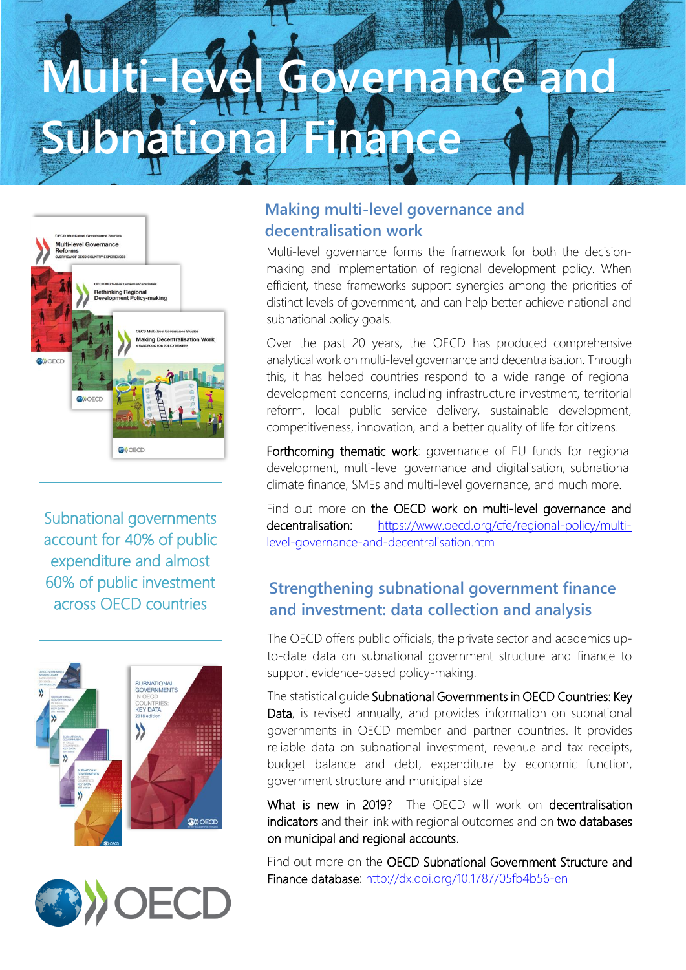# **ernance Subnational Fina**



Subnational governments account for 40% of public expenditure and almost 60% of public investment across OECD countries





## **Making multi-level governance and decentralisation work**

Multi-level governance forms the framework for both the decisionmaking and implementation of regional development policy. When efficient, these frameworks support synergies among the priorities of distinct levels of government, and can help better achieve national and subnational policy goals.

Over the past 20 years, the OECD has produced comprehensive analytical work on multi-level governance and decentralisation. Through this, it has helped countries respond to a wide range of regional development concerns, including infrastructure investment, territorial reform, local public service delivery, sustainable development, competitiveness, innovation, and a better quality of life for citizens.

Forthcoming thematic work: governance of EU funds for regional development, multi-level governance and digitalisation, subnational climate finance, SMEs and multi-level governance, and much more.

Find out more on the OECD work on multi-level governance and decentralisation: [https://www.oecd.org/cfe/regional-policy/multi](https://www.oecd.org/cfe/regional-policy/multi-level-governance-and-decentralisation.htm)[level-governance-and-decentralisation.htm](https://www.oecd.org/cfe/regional-policy/multi-level-governance-and-decentralisation.htm)

## **Strengthening subnational government finance and investment: data collection and analysis**

The OECD offers public officials, the private sector and academics upto-date data on subnational government structure and finance to support evidence-based policy-making.

The statistical guide Subnational Governments in OECD Countries: Key Data, is revised annually, and provides information on subnational governments in OECD member and partner countries. It provides reliable data on subnational investment, revenue and tax receipts, budget balance and debt, expenditure by economic function, government structure and municipal size

What is new in 2019? The OECD will work on decentralisation indicators and their link with regional outcomes and on two databases on municipal and regional accounts.

Find out more on the **OECD Subnational Government Structure and** Finance database: [http://dx.doi.org/10.1787/05fb4b56-en](http://www.oecd-ilibrary.org/urban-rural-and-regional-development/data/oecd-regional-statistics/subnational-government-structure-and-finance_05fb4b56-en)